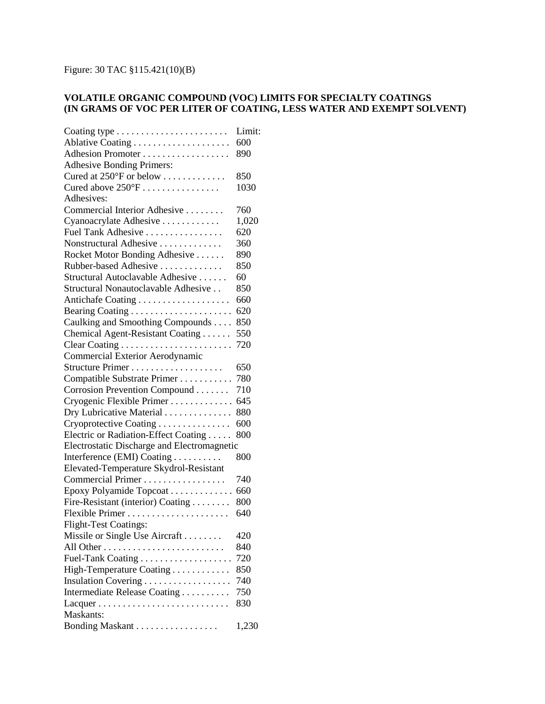## Figure: 30 TAC §115.421(10)(B)

## **VOLATILE ORGANIC COMPOUND (VOC) LIMITS FOR SPECIALTY COATINGS (IN GRAMS OF VOC PER LITER OF COATING, LESS WATER AND EXEMPT SOLVENT)**

| Coating type $\dots \dots \dots \dots \dots \dots \dots$ | Limit: |
|----------------------------------------------------------|--------|
|                                                          | 600    |
| Adhesion Promoter                                        | 890    |
| <b>Adhesive Bonding Primers:</b>                         |        |
| Cured at 250°F or below                                  | 850    |
| Cured above $250^{\circ}F$                               | 1030   |
| Adhesives:                                               |        |
| Commercial Interior Adhesive                             | 760    |
| Cyanoacrylate Adhesive                                   | 1,020  |
| Fuel Tank Adhesive                                       | 620    |
| Nonstructural Adhesive                                   | 360    |
| Rocket Motor Bonding Adhesive                            | 890    |
| Rubber-based Adhesive                                    | 850    |
| Structural Autoclavable Adhesive                         | 60     |
| Structural Nonautoclavable Adhesive                      | 850    |
|                                                          | 660    |
|                                                          | 620    |
| Caulking and Smoothing Compounds                         | 850    |
| Chemical Agent-Resistant Coating                         | 550    |
|                                                          | 720    |
| Commercial Exterior Aerodynamic                          |        |
|                                                          | 650    |
| Compatible Substrate Primer                              | 780    |
| Corrosion Prevention Compound                            | 710    |
| Cryogenic Flexible Primer                                | 645    |
| Dry Lubricative Material                                 | 880    |
| Cryoprotective Coating                                   | 600    |
| Electric or Radiation-Effect Coating                     | 800    |
| Electrostatic Discharge and Electromagnetic              |        |
| Interference (EMI) Coating                               | 800    |
| Elevated-Temperature Skydrol-Resistant                   |        |
| Commercial Primer                                        | 740    |
| Epoxy Polyamide Topcoat                                  | 660    |
| Fire-Resistant (interior) Coating                        | 800    |
|                                                          | 640    |
| <b>Flight-Test Coatings:</b>                             |        |
| Missile or Single Use Aircraft                           | 420    |
|                                                          | 840    |
|                                                          | 720    |
| High-Temperature Coating                                 | 850    |
| Insulation Covering                                      | 740    |
| Intermediate Release Coating                             | 750    |
|                                                          | 830    |
| Maskants:                                                |        |
| Bonding Maskant                                          | 1,230  |